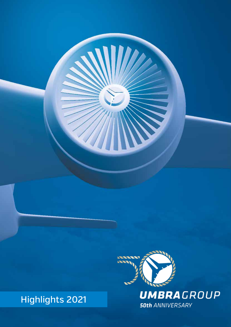

## Highlights 2021

**UMBRA**GROUP **50th ANNIVERSARY**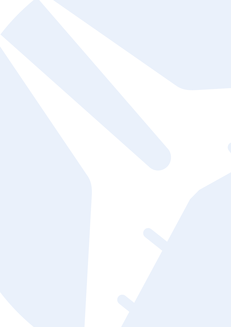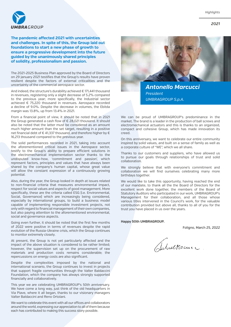

**The pandemic affected 2021 with uncertainties and challenges. In spite of this, the Group laid out foundations to start a new phase of growth to ensure a progressive development into the future guided by the unanimously shared principles of solidity, professionalism and passion.**

The 2021-2025 Business Plan approved by the Board of Directors on 29 January 2021 testifies that the Group's results have proven resilient despite the factors of external criticalities and the uncertainty of the commercial aerospace sector.

And indeed, the structure's durability achieved € 171,441 thousand in revenues, registering only a slight decrease of 5.2% compared to the previous year; more specifically, the Industrial sector achieved € 75,220 thousand in revenues. Aerospace recorded a decline of 9.0%. Despite the decrease in volumes, the Ebitda margin was 13.8%, up from 13.4% in 2021.

From a financial point of view, it should be noted that in 2021 the Group generated a cash flow of € 28,021 thousand. It should also be noted that the latter must be considered as an amount much higher amount than the set target, resulting in a positive net financial debt of € 41,337 thousand, and therefore higher by € 16,213 thousand compared to the previous year.

The solid performances recorded in 2021, taking into account the aforementioned critical issues in the Aerospace sector, testify to the Group's ability to prepare efficient solutions in the electromechanical implementation sector thanks to the undisputed know-how, 'commitment and passion', which represent factors, principles and values that have always been shared by the company's human capital, whose great value will allow the constant expression of a continuously growing potential.

Also, during the year, the Group looked in depth at issues related to non-financial criteria that measures environmental impact, respect for social values and aspects of good management. More specifically, these are the criteria called ESG (i.e. Environmental, Social, Governance) which are increasingly being considered, especially by international groups, to build a business model capable of implementing responsible investment projects, not only with regard to financial management of their own companies, but also paying attention to the aforementioned environmental, social and governance aspects.

Going even further, it should be noted that the first few months of 2022 were positive in terms of revenues despite the rapid evolution of the Russia-Ukraine crisis, which the Group continues to monitor extremely closely.

At present, the Group is not yet particularly affected and the impact of the above situation is considered to be rather limited; however, the supervision set up on the procurement of raw materials and production costs remains considerable; the repercussions on energy costs are also significant.

Despite the complexities imposed by the national and international scenario, the Group continues to invest in projects that support fragile communities through the Valter Baldaccini Foundation, which the company has always strongly supported financially and collaboratively.

This year we are celebrating UMBRAGROUP's 50th anniversary. We have come a long way, just think of the old headquarters in Via Piave, where it all began, thanks to our visionary managers Valter Baldaccini and Reno Ortolani.

We want to celebrate this event with all our offices and collaborators around the world, expressing our appreciation to all of them because each has contributed to making this success story possible.



*Antonello Marcucci President UMBRAGROUP S.p.A.*

We can be proud of UMBRAGROUP's predominance in the market. The brand is a leader in the production of ball screws and electromechanical actuators and this is thanks to an organized, compact and cohesive Group, which has made innovation its creed.

On this anniversary, we want to celebrate our entire community inspired by solid values, and built on a sense of family as well as a corporate culture of "WE", which we all share.

Thanks to our customers and suppliers, who have allowed us to pursue our goals through relationships of trust and solid collaboration.

We strongly believe that with everyone's commitment and collaboration we will find ourselves celebrating many more birthdays together.

We would like to take this opportunity, having reached the end of our mandate, to thank all the the Board of Directors for the excellent work done together, the members of the Board of Statutory Auditors who participated in our work, UMBRAGROUP's Management for their collaboration, and all those whose various titles intervened in the Council's work, for the valuable contribution provided but above all, thanks to all of you for the trust you have placed in us over the years.

**Happy 50th UMBRAGROUP.**

Foligno, March 25, 2022

Subultacue

*2021*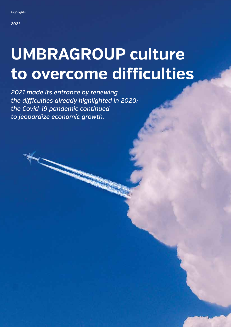*2021*

## **UMBRAGROUP culture to overcome difficulties**

*2021 made its entrance by renewing the difficulties already highlighted in 2020: the Covid-19 pandemic continued to jeopardize economic growth.*

 $\mathcal{Q}$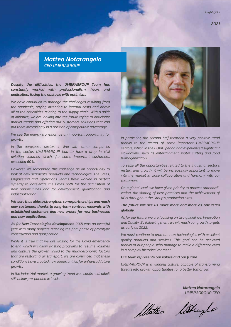#### *Matteo Notarangelo CEO UMBRAGROUP*

#### *Despite the difficulties, the UMBRAGROUP Team has constantly worked with professionalism, heart and dedication, facing the obstacle with optimism.*

*We have continued to manage the challenges resulting from the pandemic, paying attention to internal costs and above all to the criticalities relating to the supply chain. With a spirit of initiative, we are looking into the future trying to anticipate market trends and offering our customers solutions that can put them increasingly in a position of competitive advantage.* 

*We see the energy transition as an important opportunity for growth.*

*In the aerospace sector, in line with other companies in the sector, UMBRAGROUP had to face a drop in civil aviation volumes which, for some important customers, exceeded 60%.* 

*However, we recognized this challenge as an opportunity to look at new segments, products and technologies. The Sales, Engineering and Operations Teams have worked in perfect synergy to accelerate the times both for the acquisition of new opportunities and for development, qualification and industrialization.* 

*We were thus able to strengthen some partnerships and reach new customers thanks to long-term contract renewals with established customers and new orders for new businesses and new applications.*

*As for New Technologies development, 2021 was an eventful year with many projects reaching the final phase of prototype construction and qualification.*

*While it is true that we are waiting for the Covid emergency to end which will allow existing programs to resume volumes and capture the growth linked to the macroeconomic factors that are restarting air transport, we are convinced that these conditions have created new opportunities for enhanced future growth.* 

*In the industrial market, a growing trend was confirmed, albeit still below pre-pandemic levels.*



*In particular, the second half recorded a very positive trend thanks to the restart of some important UMBRAGROUP sectors, which in the COVID period had experienced significant slowdowns, such as entertainment, water cutting and food homogenization.*

*To seize all the opportunities related to the Industrial sector's restart and growth, it will be increasingly important to move into the market in close collaboration and harmony with our customers.*

*On a global level, we have given priority to process standardization, the sharing of best practices and the achievement of KPIs throughout the Group's production sites.* 

#### *The future will see us move more and more as one team globally.*

*As for our future, we are focusing on two guidelines: Innovation and Quality. By following them, we will reach our growth targets as early as 2022.*

*We must continue to promote new technologies with excellent quality products and services. This goal can be achieved thanks to our people, who manage to make a difference even in a complex historical moment.*

#### *Our team represents our values and our future.*

*UMBRAGROUP is a winning culture, capable of transforming threats into growth opportunities for a better tomorrow.*

> *Matteo Notarangelo UMBRAGROUP CEO*

Alstre Modunte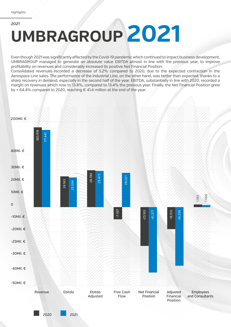*Highlights*

*2021*

# **UMBRAGROUP 2021**

Even though 2021 was significantly affected by the Covid-19 pandemic which continued to impact business development, UMBRAGROUP managed to generate an absolute value EBITDA almost in line with the previous year, to improve profitability on revenues and considerably increased its positive Net Financial Position.

Consolidated revenues recorded a decrease of 5.2% compared to 2020, due to the expected contraction in the Aerospace Line sales. The performance of the Industrial Line, on the other hand, was better than expected, thanks to a sharp recovery in demand, especially in the second half of the year. EBITDA, substantially in line with 2020, recorded a margin on revenues which rose to 13.8%, compared to 13.4% the previous year. Finally, the Net Financial Position grew by + 64.4% compared to 2020, reaching € 41.4 million at the end of the year.

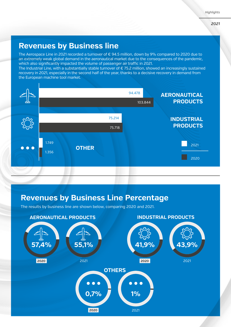## **Revenues by Business line**

The Aerospace Line in 2021 recorded a turnover of € 94.5 million, down by 9% compared to 2020 due to an extremely weak global demand in the aeronautical market due to the consequences of the pandemic, which also significantly impacted the volume of passenger air traffic in 2021.

The Industrial Line, with a substantially stable turnover of € 75.2 million, showed an increasingly sustained recovery in 2021, especially in the second half of the year, thanks to a decisive recovery in demand from the European machine tool market.



## **Revenues by Business Line Percentage**

The results by business line are shown below, comparing 2020 and 2021.

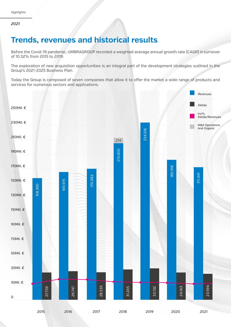*2021*

## **Trends, revenues and historical results**

Before the Covid-19 pandemic, UMBRAGROUP recorded a weighted average annual growth rate (CAGR) in turnover of 10.32% from 2015 to 2019.

The exploration of new acquisition opportunities is an integral part of the development strategies outlined in the Group's 2021-2025 Business Plan.

Today the Group is composed of seven companies that allow it to offer the market a wide range of products and services for numerous sectors and applications.

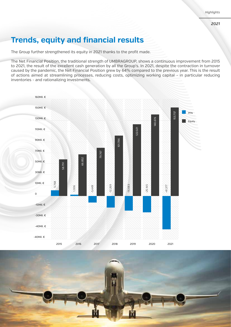## **Trends, equity and financial results**

The Group further strengthened its equity in 2021 thanks to the profit made.

The Net Financial Position, the traditional strength of UMBRAGROUP, shows a continuous improvement from 2015 to 2021, the result of the excellent cash generation by all the Group's. In 2021, despite the contraction in turnover caused by the pandemic, the Net Financial Position grew by 64% compared to the previous year. This is the result of actions aimed at streamlining processes, reducing costs, optimizing working capital - in particular reducing inventories - and rationalizing investments.



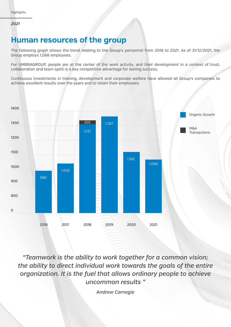*2021*

## **Human resources of the group**

The following graph shows the trend relating to the Group's personnel from 2016 to 2021. As of 31/12/2021, the Group employs 1,066 employees.

For UMBRAGROUP, people are at the center of the work activity, and their development in a context of trust, collaboration and team spirit is a key competitive advantage for lasting success.

Continuous investments in training, development and corporate welfare have allowed all Group's companies to achieve excellent results over the years and to retain their employees.



*"Teamwork is the ability to work together for a common vision; the ability to direct individual work towards the goals of the entire organization. It is the fuel that allows ordinary people to achieve uncommon results "*

*Andrew Carnegie*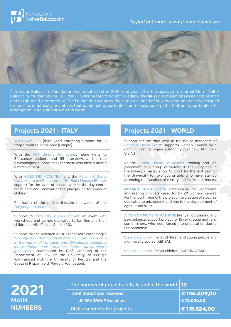



The Valter Baldaccini Foundation was established in 2015, one year after the passage to eternal life of Valter Baldaccini, founder of UMBRAGROUP. It was created to honor his legacy, his values and his actions as a Christian man and enlightened entrepreneur. The Foundation supports those most in need of help by creating projects designed for families in difficulty, initiatives that create job opportunities and educational paths that are opportunities for redemption in Italy and around the world.

### **Projects 2021 - ITALY**

**WITH FAMILIES** (third year) Parenting support for 15 fragile families in the area (Foligno).

With the ANT Umbria Foundation, home visits to 34 cancer patients and 115 interviews at the free psychological support desk for those who have suffered a bereavement.

With VIDES MIC MAG TBM and the Parish of Santa Maria Madre del Redentore in Tor Bella Monaca (Rome), support for the work of an educator in the day center for minors and renewal of the playground for younger children.

Conclusion of the post-earthquake renovation of the Foligno youth house.

Support for "The city in your pocket", an event with workshops and games dedicated to families and their children at Villa Fidelia, Spello (PG).

Support for the research of Dr. Francesca Scordamaglia *"The effects of the health emergency linked to covid-19 in the matter of contracts and obligations: regulatory interventions and Umbrian Court jurisprudence guidelines"*, coordinated by Prof. Orestano of the Department of Law of the University of Perugia (co-financed with the University of Perugia and the Cassa di Risparmio di Perugia Foundation).

### **Projects 2021 - WORLD**

Support for the third year to the house managers of Emmaus House which supports women marked by a difficult past to regain autonomy (Saginaw, Michigan, U.S.A.).

At the Leskoc House, in Kosovo, training and job placement of a group of women in the dairy and in the bakery / pastry shop. Support for the first year of the University for two young girls who have started attending the Faculties of History and Exercise Sciences.

**MUTANU L'ORTO ROSA**: greenhouse for vegetables and rearing of goats cared for by 20 women (Kenya). For the fourth year of the project, the creation of a course dedicated to microcredit and one to the development of agricultural skills.

**A JOB FOR MOMS IN MATHARE** (Kenya) job training and psychological support project for 15 very young mothers, some minors, who were forced into prostitution due to the pandemic.

Distance support for 35 children and young people and a university course (KENYA).

Distance support for 24 children (BURKINA FASO).

| 2021<br><b>MAIN</b><br><b>NUMBERS</b> | The number of projects in Italy and in the world $ 12\rangle$ |                       |
|---------------------------------------|---------------------------------------------------------------|-----------------------|
|                                       | <b>Total donations received</b>                               | $\epsilon$ 186.409,00 |
|                                       | <b>UMBRAGROUP Donations</b>                                   | € 70.000,00           |
|                                       | Disbursements for projects                                    | € 115.824,00          |